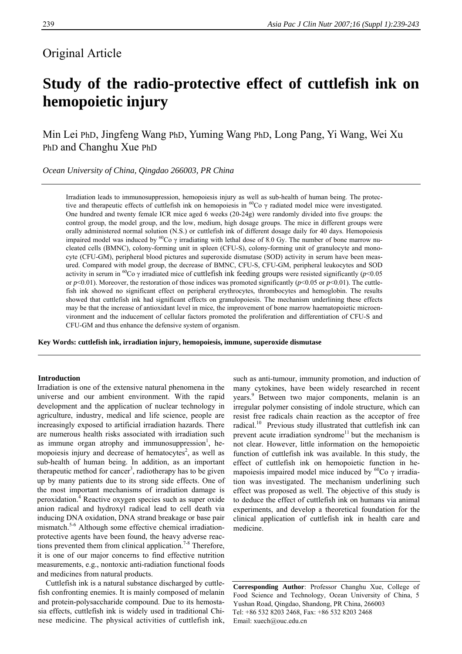# Original Article

# **Study of the radio-protective effect of cuttlefish ink on hemopoietic injury**

Min Lei PhD, Jingfeng Wang PhD, Yuming Wang PhD, Long Pang, Yi Wang, Wei Xu PhD and Changhu Xue PhD

*Ocean University of China, Qingdao 266003, PR China* 

> Irradiation leads to immunosuppression, hemopoiesis injury as well as sub-health of human being. The protective and therapeutic effects of cuttlefish ink on hemopoiesis in <sup>60</sup>Co  $\gamma$  radiated model mice were investigated. One hundred and twenty female ICR mice aged 6 weeks (20-24g) were randomly divided into five groups: the control group, the model group, and the low, medium, high dosage groups. The mice in different groups were orally administered normal solution (N.S.) or cuttlefish ink of different dosage daily for 40 days. Hemopoiesis impaired model was induced by <sup>60</sup>Co  $\gamma$  irradiating with lethal dose of 8.0 Gy. The number of bone marrow nucleated cells (BMNC), colony-forming unit in spleen (CFU-S), colony-forming unit of granulocyte and monocyte (CFU-GM), peripheral blood pictures and superoxide dismutase (SOD) activity in serum have been measured. Compared with model group, the decrease of BMNC, CFU-S, CFU-GM, peripheral leukocytes and SOD activity in serum in <sup>60</sup>Co  $\gamma$  irradiated mice of cuttlefish ink feeding groups were resisted significantly (*p*<0.05 or  $p<0.01$ ). Moreover, the restoration of those indices was promoted significantly ( $p<0.05$  or  $p<0.01$ ). The cuttlefish ink showed no significant effect on peripheral erythrocytes, thrombocytes and hemoglobin. The results showed that cuttlefish ink had significant effects on granulopoiesis. The mechanism underlining these effects may be that the increase of antioxidant level in mice, the improvement of bone marrow haematopoietic microenvironment and the inducement of cellular factors promoted the proliferation and differentiation of CFU-S and CFU-GM and thus enhance the defensive system of organism.

**Key Words: cuttlefish ink, irradiation injury, hemopoiesis, immune, superoxide dismutase** 

## **Introduction**

Irradiation is one of the extensive natural phenomena in the universe and our ambient environment. With the rapid development and the application of nuclear technology in agriculture, industry, medical and life science, people are increasingly exposed to artificial irradiation hazards. There are numerous health risks associated with irradiation such as immune organ atrophy and immunosuppression<sup>1</sup>, hemopoiesis injury and decrease of hematocytes<sup>2</sup>, as well as sub-health of human being. In addition, as an important therapeutic method for cancer<sup>3</sup>, radiotherapy has to be given up by many patients due to its strong side effects. One of the most important mechanisms of irradiation damage is peroxidation.<sup>4</sup> Reactive oxygen species such as super oxide anion radical and hydroxyl radical lead to cell death via inducing DNA oxidation, DNA strand breakage or base pair mismatch.<sup>5-6</sup> Although some effective chemical irradiationprotective agents have been found, the heavy adverse reactions prevented them from clinical application.<sup>7-8</sup> Therefore, it is one of our major concerns to find effective nutrition measurements, e.g., nontoxic anti-radiation functional foods and medicines from natural products.

Cuttlefish ink is a natural substance discharged by cuttlefish confronting enemies. It is mainly composed of melanin and protein-polysaccharide compound. Due to its hemostasia effects, cuttlefish ink is widely used in traditional Chinese medicine. The physical activities of cuttlefish ink, such as anti-tumour, immunity promotion, and induction of many cytokines, have been widely researched in recent years.<sup>9</sup> Between two major components, melanin is an irregular polymer consisting of indole structure, which can resist free radicals chain reaction as the acceptor of free radical.<sup>10</sup> Previous study illustrated that cuttlefish ink can prevent acute irradiation syndrome<sup>11</sup> but the mechanism is not clear. However, little information on the hemopoietic function of cuttlefish ink was available. In this study, the effect of cuttlefish ink on hemopoietic function in hemapoiesis impaired model mice induced by  ${}^{60}Co \gamma$  irradiation was investigated. The mechanism underlining such effect was proposed as well. The objective of this study is to deduce the effect of cuttlefish ink on humans via animal experiments, and develop a theoretical foundation for the clinical application of cuttlefish ink in health care and medicine.

**Corresponding Author**: Professor Changhu Xue, College of Food Science and Technology, Ocean University of China, 5 Yushan Road, Qingdao, Shandong, PR China, 266003 Tel: +86 532 8203 2468, Fax: +86 532 8203 2468 Email: xuech@ouc.edu.cn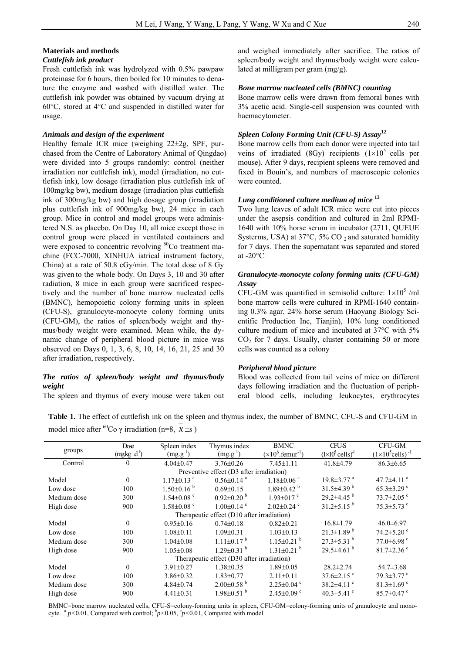# **Materials and methods**

## *Cuttlefish ink product*

Fresh cuttlefish ink was hydrolyzed with 0.5% pawpaw proteinase for 6 hours, then boiled for 10 minutes to denature the enzyme and washed with distilled water. The cuttlefish ink powder was obtained by vacuum drying at 60°C, stored at 4°C and suspended in distilled water for usage.

#### *Animals and design of the experiment*

Healthy female ICR mice (weighing 22±2g, SPF, purchased from the Centre of Laboratory Animal of Qingdao) were divided into 5 groups randomly: control (neither irradiation nor cuttlefish ink), model (irradiation, no cuttlefish ink), low dosage (irradiation plus cuttlefish ink of 100mg/kg bw), medium dosage (irradiation plus cuttlefish ink of 300mg/kg bw) and high dosage group (irradiation plus cuttlefish ink of 900mg/kg bw), 24 mice in each group. Mice in control and model groups were administered N.S. as placebo. On Day 10, all mice except those in control group were placed in ventilated containers and were exposed to concentric revolving  ${}^{60}Co$  treatment machine (FCC-7000, XINHUA iatrical instrument factory, China) at a rate of 50.8 cGy/min. The total dose of 8 Gy was given to the whole body. On Days 3, 10 and 30 after radiation, 8 mice in each group were sacrificed respectively and the number of bone marrow nucleated cells (BMNC), hemopoietic colony forming units in spleen (CFU-S), granulocyte-monocyte colony forming units (CFU-GM), the ratios of spleen/body weight and thymus/body weight were examined. Mean while, the dynamic change of peripheral blood picture in mice was observed on Days 0, 1, 3, 6, 8, 10, 14, 16, 21, 25 and 30 after irradiation, respectively.

# *The ratios of spleen/body weight and thymus/body weight*

The spleen and thymus of every mouse were taken out

and weighed immediately after sacrifice. The ratios of spleen/body weight and thymus/body weight were calculated at milligram per gram (mg/g).

# *Bone marrow nucleated cells (BMNC) counting*

Bone marrow cells were drawn from femoral bones with 3% acetic acid. Single-cell suspension was counted with haemacytometer.

# *Spleen Colony Forming Unit (CFU-S) Assay***<sup>12</sup>**

Bone marrow cells from each donor were injected into tail veins of irradiated (8Gy) recipients  $(1\times10^5 \text{ cells per})$ mouse). After 9 days, recipient spleens were removed and fixed in Bouin's, and numbers of macroscopic colonies were counted.

# *Lung conditioned culture medium of mice* **<sup>13</sup>**

Two lung leaves of adult ICR mice were cut into pieces under the asepsis condition and cultured in 2ml RPMI-1640 with 10% horse serum in incubator (2711, QUEUE Systerms, USA) at  $37^{\circ}$ C,  $5\%$  CO  $_2$  and saturated humidity for 7 days. Then the supernatant was separated and stored at  $-20^{\circ}$ C.

# *Granulocyte-monocyte colony forming units (CFU-GM) Assay*

CFU-GM was quantified in semisolid culture:  $1 \times 10^5$  /ml bone marrow cells were cultured in RPMI-1640 containing 0.3% agar, 24% horse serum (Haoyang Biology Scientific Production Inc, Tianjin), 10% lung conditioned culture medium of mice and incubated at 37°C with 5%  $CO<sub>2</sub>$  for 7 days. Usually, cluster containing 50 or more cells was counted as a colony

#### *Peripheral blood picture*

Blood was collected from tail veins of mice on different days following irradiation and the fluctuation of peripheral blood cells, including leukocytes, erythrocytes

**Table 1.** The effect of cuttlefish ink on the spleen and thymus index, the number of BMNC, CFU-S and CFU-GM in model mice after <sup>60</sup>Co γ irradiation (n=8,  $x \pm s$ )

| groups                                     | Dose          | Spleen index                 | Thymus index                 | <b>BMNC</b>                    | <b>CFU-S</b>                       | CFU-GM                              |
|--------------------------------------------|---------------|------------------------------|------------------------------|--------------------------------|------------------------------------|-------------------------------------|
|                                            | $(mgkg-1d-1)$ | $(mg.g^{-1})$                | $(mg.g^{-1})$                | $(x10^6$ femur <sup>-1</sup> ) | $(1\times10^5 \text{ cells})^{-1}$ | $(1\times10^5$ cells) <sup>-1</sup> |
| Control                                    | $\theta$      | $4.04 \pm 0.47$              | $3.76 \pm 0.26$              | $7.45 \pm 1.11$                | 41.8±4.79                          | $86.3 \pm 6.65$                     |
| Preventive effect (D3 after irradiation)   |               |                              |                              |                                |                                    |                                     |
| Model                                      | $\theta$      | $1.17\pm0.13$ <sup>a</sup>   | $0.56 \pm 0.14$ <sup>a</sup> | $1.18 \pm 0.06$ <sup>a</sup>   | $19.8 \pm 3.77$ <sup>a</sup>       | 47.7 $\pm$ 4.11 $^{\circ}$          |
| Low dose                                   | 100           | $1.50 \pm 0.16^{b}$          | $0.69 \pm 0.15$              | $1.89 \pm 0.42$ <sup>b</sup>   | 31.5 $\pm$ 4.39 $^{\rm b}$         | $65.3 \pm 3.29$ °                   |
| Medium dose                                | 300           | $1.54 \pm 0.08$ <sup>c</sup> | $0.92 \pm 0.20$ <sup>b</sup> | $1.93 \pm 017$ °               | $29.2 \pm 4.45$ <sup>b</sup>       | $73.7 \pm 2.05$ °                   |
| High dose                                  | 900           | $1.58 \pm 0.08$ <sup>c</sup> | $1.00 \pm 0.14$ <sup>c</sup> | $2.02 \pm 0.24$ °              | $31.2 \pm 5.15$ <sup>b</sup>       | $75.3 \pm 5.73$ °                   |
| Therapeutic effect (D10 after irradiation) |               |                              |                              |                                |                                    |                                     |
| Model                                      | $\mathbf{0}$  | $0.95 \pm 0.16$              | $0.74 \pm 0.18$              | $0.82 \pm 0.21$                | $16.8 \pm 1.79$                    | $46.0 \pm 6.97$                     |
| Low dose                                   | 100           | $1.08 \pm 0.11$              | $1.09 \pm 0.31$              | $1.03 \pm 0.13$                | $21.3 \pm 1.89$ <sup>b</sup>       | $74.2 \pm 5.20$ °                   |
| Medium dose                                | 300           | $1.04 \pm 0.08$              | $1.11 \pm 0.17$ <sup>b</sup> | $1.15 \pm 0.21$ <sup>b</sup>   | $27.3 \pm 5.31$ <sup>b</sup>       | $77.0\pm6.98$ c                     |
| High dose                                  | 900           | $1.05 \pm 0.08$              | $1.29 \pm 0.31$ <sup>b</sup> | $1.31 \pm 0.21$ <sup>b</sup>   | $29.5 \pm 4.61$ <sup>b</sup>       | $81.7 \pm 2.36$ <sup>c</sup>        |
| Therapeutic effect (D30 after irradiation) |               |                              |                              |                                |                                    |                                     |
| Model                                      | $\theta$      | $3.91 \pm 0.27$              | $1.38 \pm 0.35$              | $1.89 \pm 0.05$                | $28.2 \pm 2.74$                    | $54.7 \pm 3.68$                     |
| Low dose                                   | 100           | $3.86 \pm 0.32$              | $1.83 \pm 0.77$              | $2.11 \pm 0.11$                | $37.6 \pm 2.15$ <sup>c</sup>       | $79.3 \pm 3.77$ °                   |
| Medium dose                                | 300           | $4.84 \pm 0.74$              | $2.00\pm0.58$ <sup>b</sup>   | $2.25 \pm 0.04$ <sup>c</sup>   | 38.2 $\pm$ 4.11 $\degree$          | $81.3 \pm 1.69$ <sup>c</sup>        |
| High dose                                  | 900           | $4.41 \pm 0.31$              | $1.98 \pm 0.51$ <sup>b</sup> | $2.45 \pm 0.09$ °              | 40.3 $\pm$ 5.41 $\degree$          | $85.7 \pm 0.47$ °                   |

BMNC=bone marrow nucleated cells, CFU-S=colony-forming units in spleen, CFU-GM=colony-forming units of granulocyte and monocyte.  $^{a}p<0.01$ , Compared with control;  $^{b}p<0.05$ ,  $^{c}p<0.01$ , Compared with model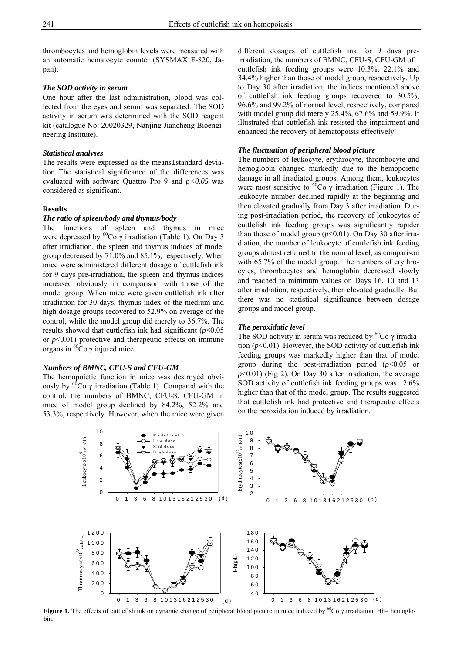thrombocytes and hemoglobin levels were measured with an automatic hematocyte counter (SYSMAX F-820, Japan).

# *The SOD activity in serum*

One hour after the last administration, blood was collected from the eyes and serum was separated. The SOD activity in serum was determined with the SOD reagent kit (catalogue No: 20020329, Nanjing Jiancheng Bioengineering Institute).

#### *Statistical analyses*

The results were expressed as the means±standard deviation. The statistical significance of the differences was evaluated with software Quattro Pro 9 and *p<0.05* was considered as significant.

# **Results**

# *The ratio of spleen/body and thymus/body*

The functions of spleen and thymus in mice were depressed by  ${}^{60}Co$  γ irradiation (Table 1). On Day 3 after irradiation, the spleen and thymus indices of model group decreased by 71.0% and 85.1%, respectively. When mice were administered different dosage of cuttlefish ink for 9 days pre-irradiation, the spleen and thymus indices increased obviously in comparison with those of the model group. When mice were given cuttlefish ink after irradiation for 30 days, thymus index of the medium and high dosage groups recovered to 52.9% on average of the control, while the model group did merely to 36.7%. The results showed that cuttlefish ink had significant (*p*<0.05 or  $p<0.01$ ) protective and therapeutic effects on immune organs in  ${}^{60}$ Co γ injured mice.

# *Numbers of BMNC, CFU-S and CFU-GM*

The hemopoietic function in mice was destroyed obviously by <sup>60</sup>Co γ irradiation (Table 1). Compared with the control, the numbers of BMNC, CFU-S, CFU-GM in mice of model group declined by 84.2%, 52.2% and 53.3%, respectively. However, when the mice were given different dosages of cuttlefish ink for 9 days preirradiation, the numbers of BMNC, CFU-S, CFU-GM of cuttlefish ink feeding groups were 10.3%, 22.1% and 34.4% higher than those of model group, respectively. Up to Day 30 after irradiation, the indices mentioned above of cuttlefish ink feeding groups recovered to 30.5%, 96.6% and 99.2% of normal level, respectively, compared with model group did merely 25.4%, 67.6% and 59.9%. It illustrated that cuttlefish ink resisted the impairment and enhanced the recovery of hematopoisis effectively.

#### *The fluctuation of peripheral blood picture*

The numbers of leukocyte, erythrocyte, thrombocyte and hemoglobin changed markedly due to the hemopoietic damage in all irradiated groups. Among them, leukocytes were most sensitive to  ${}^{60}Co$  γ irradiation (Figure 1). The leukocyte number declined rapidly at the beginning and then elevated gradually from Day 3 after irradiation. During post-irradiation period, the recovery of leukocytes of cuttlefish ink feeding groups was significantly rapider than those of model group  $(p<0.01)$ . On Day 30 after irradiation, the number of leukocyte of cuttlefish ink feeding groups almost returned to the normal level, as comparison with 65.7% of the model group. The numbers of erythrocytes, thrombocytes and hemoglobin decreased slowly and reached to minimum values on Days 16, 10 and 13 after irradiation, respectively, then elevated gradually. But there was no statistical significance between dosage groups and model group.

#### *The peroxidatic level*

The SOD activity in serum was reduced by  ${}^{60}Co$  γ irradiation (*p*<0.01). However, the SOD activity of cuttlefish ink feeding groups was markedly higher than that of model group during the post-irradiation period  $(p<0.05$  or  $p$ <0.01) (Fig 2). On Day 30 after irradiation, the average SOD activity of cuttlefish ink feeding groups was 12.6% higher than that of the model group. The results suggested that cuttlefish ink had protective and therapeutic effects on the peroxidation induced by irradiation.



**Figure 1.** The effects of cuttlefish ink on dynamic change of peripheral blood picture in mice induced by <sup>60</sup>Co γ irradiation. Hb= hemoglobin.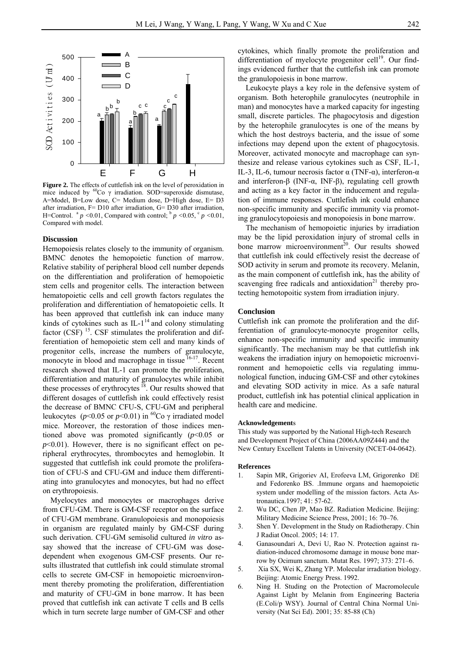

**Figure 2.** The effects of cuttlefish ink on the level of peroxidation in mice induced by  $60^{\circ}$ Co  $\gamma$  irradiation. SOD=superoxide dismutase, A=Model, B=Low dose, C= Medium dose, D=High dose, E= D3 after irradiation, F= D10 after irradiation, G= D30 after irradiation, H=Control. <sup>a</sup>  $p < 0.01$ , Compared with control; <sup>b</sup>  $p < 0.05$ , <sup>c</sup>  $p < 0.01$ , Compared with model.

#### **Discussion**

Hemopoiesis relates closely to the immunity of organism. BMNC denotes the hemopoietic function of marrow. Relative stability of peripheral blood cell number depends on the differentiation and proliferation of hemopoietic stem cells and progenitor cells. The interaction between hematopoietic cells and cell growth factors regulates the proliferation and differentiation of hematopoietic cells. It has been approved that cuttlefish ink can induce many kinds of cytokines such as  $IL-1<sup>14</sup>$  and colony stimulating factor  $(CSF)$ <sup>15</sup>. CSF stimulates the proliferation and differentiation of hemopoietic stem cell and many kinds of progenitor cells, increase the numbers of granulocyte, monocyte in blood and macrophage in tissue  $\frac{16-17}{16}$ . Recent research showed that IL-1 can promote the proliferation, differentiation and maturity of granulocytes while inhibit these processes of erythrocytes  $^{18}$ . Our results showed that different dosages of cuttlefish ink could effectively resist the decrease of BMNC CFU-S, CFU-GM and peripheral leukocytes ( $p$ <0.05 or  $p$ <0.01) in <sup>60</sup>Co  $\gamma$  irradiated model mice. Moreover, the restoration of those indices mentioned above was promoted significantly (*p*<0.05 or  $p<0.01$ ). However, there is no significant effect on peripheral erythrocytes, thrombocytes and hemoglobin. It suggested that cuttlefish ink could promote the proliferation of CFU-S and CFU-GM and induce them differentiating into granulocytes and monocytes, but had no effect on erythropoiesis.

Myelocytes and monocytes or macrophages derive from CFU-GM. There is GM-CSF receptor on the surface of CFU-GM membrane. Granulopoiesis and monopoiesis in organism are regulated mainly by GM-CSF during such derivation. CFU-GM semisolid cultured *in vitro* assay showed that the increase of CFU-GM was dosedependent when exogenous GM-CSF presents. Our results illustrated that cuttlefish ink could stimulate stromal cells to secrete GM-CSF in hemopoietic microenvironment thereby promoting the proliferation, differentiation and maturity of CFU-GM in bone marrow. It has been proved that cuttlefish ink can activate T cells and B cells which in turn secrete large number of GM-CSF and other

cytokines, which finally promote the proliferation and differentiation of myelocyte progenitor cell $19$ . Our findings evidenced further that the cuttlefish ink can promote the granulopoiesis in bone marrow.

Leukocyte plays a key role in the defensive system of organism. Both heterophile granulocytes (neutrophile in man) and monocytes have a marked capacity for ingesting small, discrete particles. The phagocytosis and digestion by the heterophile granulocytes is one of the means by which the host destroys bacteria, and the issue of some infections may depend upon the extent of phagocytosis. Moreover, activated monocyte and macrophage can synthesize and release various cytokines such as CSF, IL-1, IL-3, IL-6, tumour necrosis factor α (TNF-α), interferon-α and interferon-β (INF- $\alpha$ , INF-β), regulating cell growth and acting as a key factor in the inducement and regulation of immune responses. Cuttlefish ink could enhance non-specific immunity and specific immunity via promoting granulocytopoiesis and monopoiesis in bone marrow.

The mechanism of hemopoietic injuries by irradiation may be the lipid peroxidation injury of stromal cells in bone marrow microenvironment<sup>20</sup>. Our results showed that cuttlefish ink could effectively resist the decrease of SOD activity in serum and promote its recovery. Melanin, as the main component of cuttlefish ink, has the ability of scavenging free radicals and antioxidation $21$  thereby protecting hemotopoitic system from irradiation injury.

#### **Conclusion**

Cuttlefish ink can promote the proliferation and the differentiation of granulocyte-monocyte progenitor cells, enhance non-specific immunity and specific immunity significantly. The mechanism may be that cuttlefish ink weakens the irradiation injury on hemopoietic microenvironment and hemopoietic cells via regulating immunological function, inducing GM-CSF and other cytokines and elevating SOD activity in mice. As a safe natural product, cuttlefish ink has potential clinical application in health care and medicine.

#### **Acknowledgement**s

This study was supported by the National High-tech Research and Development Project of China (2006AA09Z444) and the New Century Excellent Talents in University (NCET-04-0642).

#### **References**

- 1. Sapin MR, Grigoriev AI, Erofeeva LM, Grigorenko DE and Fedorenko BS. .Immune organs and haemopoietic system under modelling of the mission factors. Acta Astronautica.1997; 41: 57-62.
- 2. Wu DC, Chen JP, Mao BZ. Radiation Medicine. Beijing: Military Medicine Science Press, 2001; 16: 70–76.
- 3. Shen Y. Development in the Study on Radiotherapy. Chin J Radiat Oncol. 2005; 14: 17.
- 4. Ganasoundari A, Devi U, Rao N. Protection against radiation-induced chromosome damage in mouse bone marrow by Ocimum sanctum. Mutat Res. 1997; 373: 271–6.
- 5. Xia SX, Wei K, Zhang YP. Molecular irradiation biology. Beijing: Atomic Energy Press. 1992.
- 6. Ning H. Studing on the Protection of Macromolecule Against Light by Melanin from Engineering Bacteria (E.Coli/p WSY). Journal of Central China Normal University (Nat Sci Ed). 2001; 35: 85-88 (Ch)